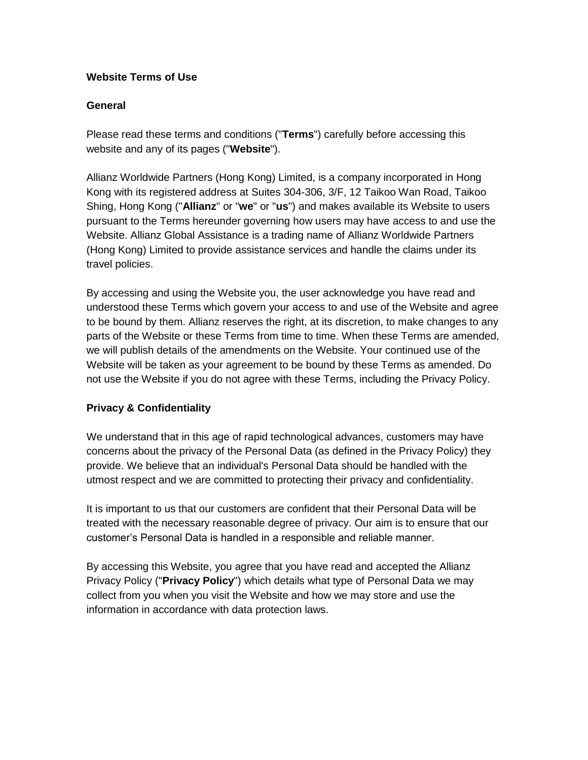## **Website Terms of Use**

## **General**

Please read these terms and conditions ("**Terms**") carefully before accessing this website and any of its pages ("**Website**").

Allianz Worldwide Partners (Hong Kong) Limited, is a company incorporated in Hong Kong with its registered address at Suites 304-306, 3/F, 12 Taikoo Wan Road, Taikoo Shing, Hong Kong ("**Allianz**" or "**we**" or "**us**") and makes available its Website to users pursuant to the Terms hereunder governing how users may have access to and use the Website. Allianz Global Assistance is a trading name of Allianz Worldwide Partners (Hong Kong) Limited to provide assistance services and handle the claims under its travel policies.

By accessing and using the Website you, the user acknowledge you have read and understood these Terms which govern your access to and use of the Website and agree to be bound by them. Allianz reserves the right, at its discretion, to make changes to any parts of the Website or these Terms from time to time. When these Terms are amended, we will publish details of the amendments on the Website. Your continued use of the Website will be taken as your agreement to be bound by these Terms as amended. Do not use the Website if you do not agree with these Terms, including the Privacy Policy.

# **Privacy & Confidentiality**

We understand that in this age of rapid technological advances, customers may have concerns about the privacy of the Personal Data (as defined in the Privacy Policy) they provide. We believe that an individual's Personal Data should be handled with the utmost respect and we are committed to protecting their privacy and confidentiality.

It is important to us that our customers are confident that their Personal Data will be treated with the necessary reasonable degree of privacy. Our aim is to ensure that our customer's Personal Data is handled in a responsible and reliable manner.

By accessing this Website, you agree that you have read and accepted the Allianz Privacy Policy ("**Privacy Policy**") which details what type of Personal Data we may collect from you when you visit the Website and how we may store and use the information in accordance with data protection laws.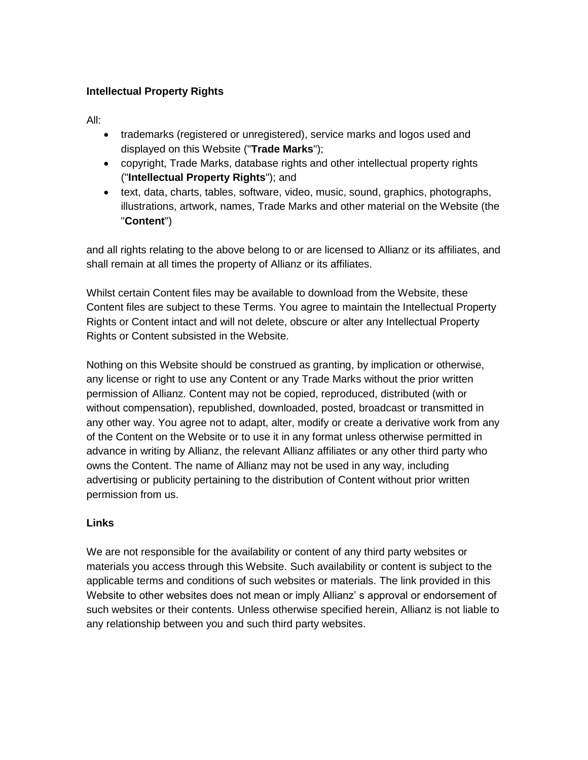# **Intellectual Property Rights**

All:

- trademarks (registered or unregistered), service marks and logos used and displayed on this Website ("**Trade Marks**");
- copyright, Trade Marks, database rights and other intellectual property rights ("**Intellectual Property Rights**"); and
- text, data, charts, tables, software, video, music, sound, graphics, photographs, illustrations, artwork, names, Trade Marks and other material on the Website (the "**Content**")

and all rights relating to the above belong to or are licensed to Allianz or its affiliates, and shall remain at all times the property of Allianz or its affiliates.

Whilst certain Content files may be available to download from the Website, these Content files are subject to these Terms. You agree to maintain the Intellectual Property Rights or Content intact and will not delete, obscure or alter any Intellectual Property Rights or Content subsisted in the Website.

Nothing on this Website should be construed as granting, by implication or otherwise, any license or right to use any Content or any Trade Marks without the prior written permission of Allianz. Content may not be copied, reproduced, distributed (with or without compensation), republished, downloaded, posted, broadcast or transmitted in any other way. You agree not to adapt, alter, modify or create a derivative work from any of the Content on the Website or to use it in any format unless otherwise permitted in advance in writing by Allianz, the relevant Allianz affiliates or any other third party who owns the Content. The name of Allianz may not be used in any way, including advertising or publicity pertaining to the distribution of Content without prior written permission from us.

# **Links**

We are not responsible for the availability or content of any third party websites or materials you access through this Website. Such availability or content is subject to the applicable terms and conditions of such websites or materials. The link provided in this Website to other websites does not mean or imply Allianz' s approval or endorsement of such websites or their contents. Unless otherwise specified herein, Allianz is not liable to any relationship between you and such third party websites.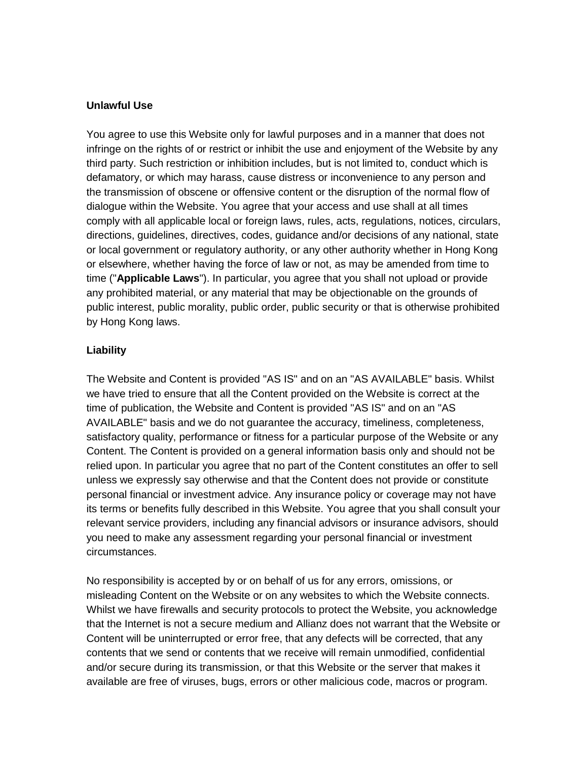### **Unlawful Use**

You agree to use this Website only for lawful purposes and in a manner that does not infringe on the rights of or restrict or inhibit the use and enjoyment of the Website by any third party. Such restriction or inhibition includes, but is not limited to, conduct which is defamatory, or which may harass, cause distress or inconvenience to any person and the transmission of obscene or offensive content or the disruption of the normal flow of dialogue within the Website. You agree that your access and use shall at all times comply with all applicable local or foreign laws, rules, acts, regulations, notices, circulars, directions, guidelines, directives, codes, guidance and/or decisions of any national, state or local government or regulatory authority, or any other authority whether in Hong Kong or elsewhere, whether having the force of law or not, as may be amended from time to time ("**Applicable Laws**"). In particular, you agree that you shall not upload or provide any prohibited material, or any material that may be objectionable on the grounds of public interest, public morality, public order, public security or that is otherwise prohibited by Hong Kong laws.

## **Liability**

The Website and Content is provided "AS IS" and on an "AS AVAILABLE" basis. Whilst we have tried to ensure that all the Content provided on the Website is correct at the time of publication, the Website and Content is provided "AS IS" and on an "AS AVAILABLE" basis and we do not guarantee the accuracy, timeliness, completeness, satisfactory quality, performance or fitness for a particular purpose of the Website or any Content. The Content is provided on a general information basis only and should not be relied upon. In particular you agree that no part of the Content constitutes an offer to sell unless we expressly say otherwise and that the Content does not provide or constitute personal financial or investment advice. Any insurance policy or coverage may not have its terms or benefits fully described in this Website. You agree that you shall consult your relevant service providers, including any financial advisors or insurance advisors, should you need to make any assessment regarding your personal financial or investment circumstances.

No responsibility is accepted by or on behalf of us for any errors, omissions, or misleading Content on the Website or on any websites to which the Website connects. Whilst we have firewalls and security protocols to protect the Website, you acknowledge that the Internet is not a secure medium and Allianz does not warrant that the Website or Content will be uninterrupted or error free, that any defects will be corrected, that any contents that we send or contents that we receive will remain unmodified, confidential and/or secure during its transmission, or that this Website or the server that makes it available are free of viruses, bugs, errors or other malicious code, macros or program.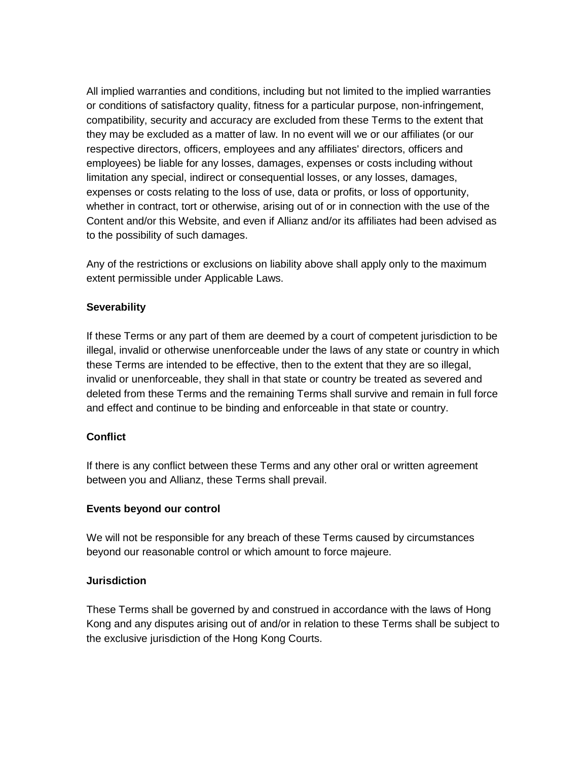All implied warranties and conditions, including but not limited to the implied warranties or conditions of satisfactory quality, fitness for a particular purpose, non-infringement, compatibility, security and accuracy are excluded from these Terms to the extent that they may be excluded as a matter of law. In no event will we or our affiliates (or our respective directors, officers, employees and any affiliates' directors, officers and employees) be liable for any losses, damages, expenses or costs including without limitation any special, indirect or consequential losses, or any losses, damages, expenses or costs relating to the loss of use, data or profits, or loss of opportunity, whether in contract, tort or otherwise, arising out of or in connection with the use of the Content and/or this Website, and even if Allianz and/or its affiliates had been advised as to the possibility of such damages.

Any of the restrictions or exclusions on liability above shall apply only to the maximum extent permissible under Applicable Laws.

## **Severability**

If these Terms or any part of them are deemed by a court of competent jurisdiction to be illegal, invalid or otherwise unenforceable under the laws of any state or country in which these Terms are intended to be effective, then to the extent that they are so illegal, invalid or unenforceable, they shall in that state or country be treated as severed and deleted from these Terms and the remaining Terms shall survive and remain in full force and effect and continue to be binding and enforceable in that state or country.

## **Conflict**

If there is any conflict between these Terms and any other oral or written agreement between you and Allianz, these Terms shall prevail.

## **Events beyond our control**

We will not be responsible for any breach of these Terms caused by circumstances beyond our reasonable control or which amount to force majeure.

## **Jurisdiction**

These Terms shall be governed by and construed in accordance with the laws of Hong Kong and any disputes arising out of and/or in relation to these Terms shall be subject to the exclusive jurisdiction of the Hong Kong Courts.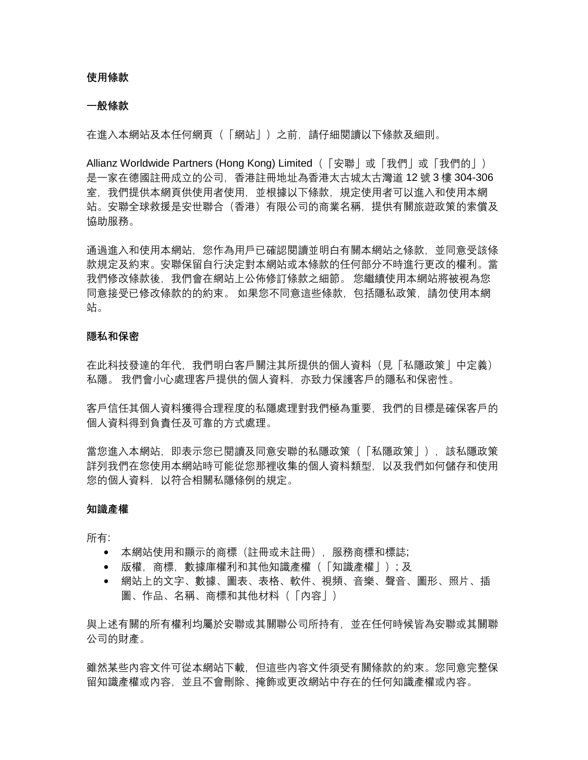#### **使用條款**

#### **一般條款**

在谁入本網站及本任何網頁(「網站」)之前,請仔細閱讀以下條款及細則。

Allianz Worldwide Partners (Hong Kong) Limited (「安聯」或「我們」或「我們的」) 是一家在德國註冊成立的公司,香港註冊地址為香港太古城太古灣道 12 號 3 樓 304-306 室,我們提供本網頁供使用者使用,並根據以下條款,規定使用者可以進入和使用本網 站。安聯全球救援是安世聯合(香港)有限公司的商業名稱,提供有關旅遊政策的索償及 協助服務。

通過進入和使用本網站,您作為用戶已確認閱讀並明白有關本網站之條款,並同意受該條 款規定及約束。安聯保留自行決定對本網站或本條款的任何部分不時進行更改的權利。當 我們修改條款後,我們會在網站上公佈修訂條款之細節。 您繼續使用本網站將被視為您 同意接受已修改條款的的約束。 如果您不同意這些條款,包括隱私政策,請勿使用本網 站。

#### **隱私和保密**

在此科技發達的年代,我們明白客戶關注其所提供的個人資料(見「私隱政策」中定義) 私隱。 我們會小心處理客戶提供的個人資料,亦致力保護客戶的隱私和保密性。

客戶信任其個人資料獲得合理程度的私隱處理對我們極為重要,我們的目標是確保客戶的 個人資料得到負責任及可靠的方式處理。

當您谁入本網站,即表示您已閱讀及同意安聯的私隱政策(「私隱政策」),該私隱政策 詳列我們在您使用本網站時可能從您那裡收集的個人資料類型,以及我們如何儲存和使用 您的個人資料,以符合相關私隱條例的規定。

#### **知識產權**

所有:

- 本網站使用和顯示的商標(註冊或未註冊),服務商標和標誌;
- 版權, 商標, 數據庫權利和其他知識產權 (「知識產權」); 及
- 網站上的文字、數據、圖表、表格、軟件、視頻、音樂、聲音、圖形、照片、插 圖、作品、名稱、商標和其他材料(「內容」)

與上述有關的所有權利均屬於安聯或其關聯公司所持有,並在任何時候皆為安聯或其關聯 公司的財產。

雖然某些內容文件可從本網站下載,但這些內容文件須受有關條款的約束。您同意完整保 留知識產權或內容,並且不會刪除、掩飾或更改網站中存在的任何知識產權或內容。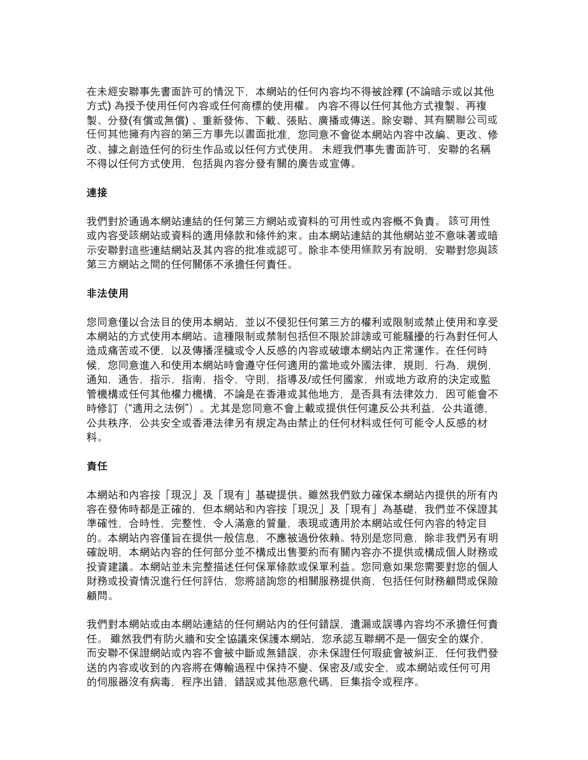在未經安聯事先書面許可的情況下,本網站的任何內容均不得被詮釋 (不論暗示或以其他 方式) 為授予使用任何內容或任何商標的使用權。 內容不得以任何其他方式複製、再複 製、分發(有償或無償) 、重新發佈、下載、張貼、廣播或傳送。除安聯、其有關聯公司或 任何其他擁有內容的第三方事先以書面批准,您同意不會從本網站內容中改編、更改、修 改、據之創造任何的衍生作品或以任何方式使用。 未經我們事先書面許可,安聯的名稱 不得以任何方式使用,包括與內容分發有關的廣告或宣傳。

### **連接**

我們對於通過本網站連結的任何第三方網站或資料的可用性或內容概不負責。 該可用性 或內容受該網站或資料的適用條款和條件約束。由本網站連結的其他網站並不意味著或暗 示安聯對這些連結網站及其內容的批准或認可。除非本使用條款另有說明,安聯對您與該 第三方網站之間的任何關係不承擔任何責任。

### **非法使用**

您同意僅以合法目的使用本網站,並以不侵犯任何第三方的權利或限制或禁止使用和享受 本網站的方式使用本網站。這種限制或禁制包括但不限於誹謗或可能騷擾的行為對任何人 造成痛苦或不便,以及傳播淫穢或令人反感的內容或破壞本網站內正常運作。在任何時 候,您同意進入和使用本網站時會遵守任何適用的當地或外國法律,規則,行為,規例, 通知,通告,指示,指南,指令,守則,指導及/或任何國家,州或地方政府的決定或監 管機構或任何其他權力機構,不論是在香港或其他地方,是否具有法律效力,因可能會不 時修訂("適用之法例")。尤其是您同意不會上載或提供任何違反公共利益,公共道德, 公共秩序,公共安全或香港法律另有規定為由禁止的任何材料或任何可能令人反感的材 料。

### **責任**

本網站和內容按「現況」及「現有」基礎提供。雖然我們致力確保本網站內提供的所有內 容在發佈時都是正確的,但本網站和內容按「現況」及「現有」為基礎,我們並不保證其 準確性,合時性,完整性,令人滿意的質量,表現或適用於本網站或任何內容的特定目 的。本網站內容僅旨在提供一般信息,不應被過份依賴。特別是您同意,除非我們另有明 確說明,本網站內容的任何部分並不構成出售要約而有關內容亦不提供或構成個人財務或 投資建議。本網站並未完整描述任何保單條款或保單利益。您同意如果您需要對您的個人 財務或投資情況進行任何評估,您將諮詢您的相關服務提供商,包括任何財務顧問或保險 顧問。

我們對本網站或由本網站高任何網站內的任何錯誤,遺漏或誤導內容均不承擔任何責 任。 雖然我們有防火牆和安全協議來保護本網站,您承認互聯網不是一個安全的媒介, 而安聯不保證網站或內容不會被中斷或無錯誤,亦未保證任何瑕疵會被糾正,任何我們發 送的內容或收到的內容將在傳輸過程中保持不變、保密及/或安全,或本網站或任何可用 的伺服器沒有病毒,程序出錯,錯誤或其他惡意代碼,巨集指令或程序。